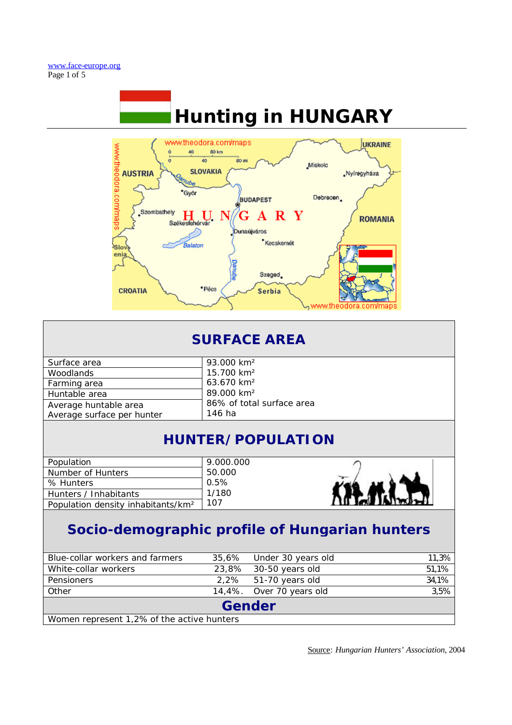

| <b>SURFACE AREA</b>                                 |                                     |  |  |
|-----------------------------------------------------|-------------------------------------|--|--|
| Surface area                                        | 93.000 km <sup>2</sup>              |  |  |
| Woodlands                                           | 15.700 km <sup>2</sup>              |  |  |
| Farming area                                        | 63.670 km <sup>2</sup>              |  |  |
| Huntable area                                       | 89.000 km <sup>2</sup>              |  |  |
| Average huntable area<br>Average surface per hunter | 86% of total surface area<br>146 ha |  |  |

# **HUNTER/POPULATION**

| Population                                     | 9.000.000 |
|------------------------------------------------|-----------|
| Number of Hunters                              | 50.000    |
| % Hunters                                      | 0.5%      |
| Hunters / Inhabitants                          | 1/180     |
| Population density inhabitants/km <sup>2</sup> | 107       |



# **Socio-demographic profile of Hungarian hunters**

| Blue-collar workers and farmers            |  | 35,6% Under 30 years old | 11,3% |  |
|--------------------------------------------|--|--------------------------|-------|--|
| White-collar workers                       |  | 23,8% 30-50 years old    | 51,1% |  |
| <b>Pensioners</b>                          |  | 2,2% 51-70 years old     | 34,1% |  |
| Other                                      |  | 14,4%. Over 70 years old | 3,5%  |  |
| Gender                                     |  |                          |       |  |
| Women represent 1,2% of the active hunters |  |                          |       |  |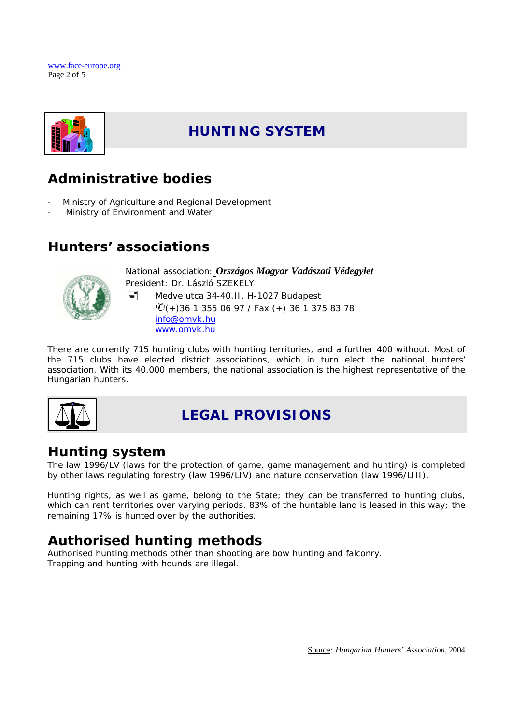



# **HUNTING SYSTEM**

# **Administrative bodies**

- Ministry of Agriculture and Regional Development
- Ministry of Environment and Water

## **Hunters' associations**



National association: *Országos Magyar Vadászati Védegylet* President: Dr. László SZEKELY  $\equiv$  Medve utca 34-40.II, H-1027 Budapest  $\mathcal{O}(+)$ 36 1 355 06 97 / Fax (+) 36 1 375 83 78 info@omvk.hu www.omvk.hu

There are currently 715 hunting clubs with hunting territories, and a further 400 without. Most of the 715 clubs have elected district associations, which in turn elect the national hunters' association. With its 40.000 members, the national association is the highest representative of the Hungarian hunters.



# **LEGAL PROVISIONS**

#### **Hunting system**

The law 1996/LV (laws for the protection of game, game management and hunting) is completed by other laws regulating forestry (law 1996/LIV) and nature conservation (law 1996/LIII).

Hunting rights, as well as game, belong to the State; they can be transferred to hunting clubs, which can rent territories over varying periods. 83% of the huntable land is leased in this way; the remaining 17% is hunted over by the authorities.

# **Authorised hunting methods**

Authorised hunting methods other than shooting are bow hunting and falconry. Trapping and hunting with hounds are illegal.

Source: *Hungarian Hunters' Association*, 2004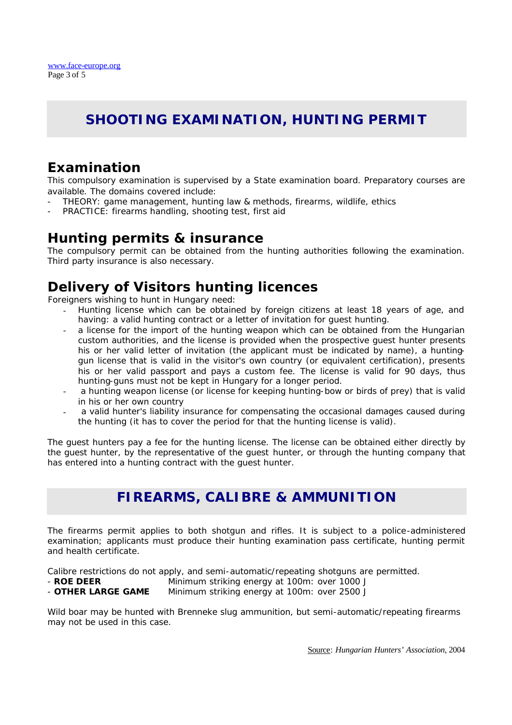# **SHOOTING EXAMINATION, HUNTING PERMIT**

### **Examination**

This compulsory examination is supervised by a State examination board. Preparatory courses are available. The domains covered include:

- THEORY: game management, hunting law & methods, firearms, wildlife, ethics
- PRACTICE: firearms handling, shooting test, first aid

#### **Hunting permits & insurance**

The compulsory permit can be obtained from the hunting authorities following the examination. Third party insurance is also necessary.

## **Delivery of Visitors hunting licences**

Foreigners wishing to hunt in Hungary need:

- Hunting license which can be obtained by foreign citizens at least 18 years of age, and having: a valid hunting contract or a letter of invitation for guest hunting.
- a license for the import of the hunting weapon which can be obtained from the Hungarian custom authorities, and the license is provided when the prospective guest hunter presents his or her valid letter of invitation (the applicant must be indicated by name), a huntinggun license that is valid in the visitor's own country (or equivalent certification), presents his or her valid passport and pays a custom fee. The license is valid for 90 days, thus hunting-guns must not be kept in Hungary for a longer period.
- a hunting weapon license (or license for keeping hunting-bow or birds of prey) that is valid in his or her own country
- a valid hunter's liability insurance for compensating the occasional damages caused during the hunting (it has to cover the period for that the hunting license is valid).

The guest hunters pay a fee for the hunting license. The license can be obtained either directly by the guest hunter, by the representative of the guest hunter, or through the hunting company that has entered into a hunting contract with the guest hunter.

## **FIREARMS, CALIBRE & AMMUNITION**

The firearms permit applies to both shotgun and rifles. It is subject to a police-administered examination; applicants must produce their hunting examination pass certificate, hunting permit and health certificate.

Calibre restrictions do not apply, and semi-automatic/repeating shotguns are permitted.

- - **ROE DEER** Minimum striking energy at 100m: over 1000 J
- **OTHER LARGE GAME** Minimum striking energy at 100m: over 2500 J

Wild boar may be hunted with Brenneke slug ammunition, but semi-automatic/repeating firearms may not be used in this case.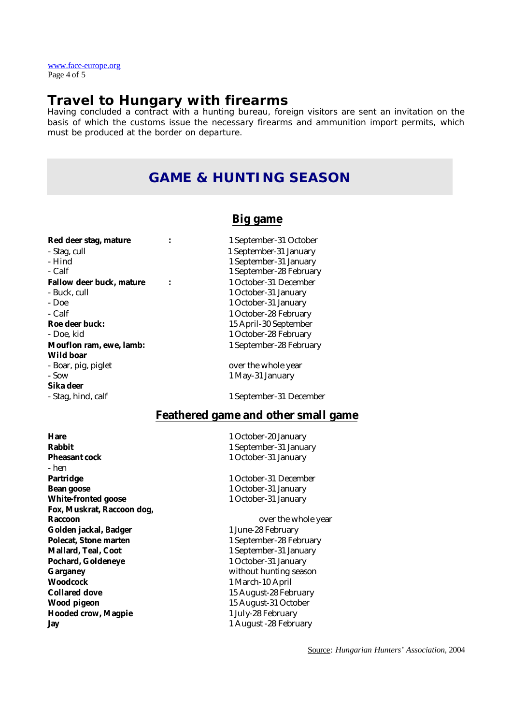www.face-europe.org Page 4 of 5

#### **Travel to Hungary with firearms**

Having concluded a contract with a hunting bureau, foreign visitors are sent an invitation on the basis of which the customs issue the necessary firearms and ammunition import permits, which must be produced at the border on departure.

#### **GAME & HUNTING SEASON**

#### **Big game**

| ked deer stag, mature           |  |  |
|---------------------------------|--|--|
| - Stag, cull                    |  |  |
| - Hind                          |  |  |
| - Calf                          |  |  |
| <b>Fallow deer buck, mature</b> |  |  |
| - Buck. cull                    |  |  |
| - Doe                           |  |  |
| - Calf                          |  |  |
| Roe deer buck:                  |  |  |
| - Doe. kid                      |  |  |
| Mouflon ram, ewe, lamb:         |  |  |
| Wild boar                       |  |  |
| - Boar, pig, piglet             |  |  |
| - Sow                           |  |  |
| Sika deer                       |  |  |
| - Stag, hind, calf              |  |  |
|                                 |  |  |

**Red deer stag, mature :** 1 September-31 October 1 September-31 January 1 September-31 January 1 September-28 February **Fallow deer buck, mature :** 1 October-31 December 1 October-31 January 1 October-31 January 1 October-28 February 15 April-30 September 1 October-28 February 1 September-28 February

> over the whole year 1 May-31 January

1 September-31 December

#### **Feathered game and other small game**

**Hare** 1 October-20 January **Rabbit**<br> **Rabbit**<br> **Pheasant cock**<br> **Rabbit**<br> **Pheasant cock**<br> **Pheasant cock**<br> **Pheasant cock**<br> **Pheasant cock** - hen **Partridge 21 December 21 December** 21 December 21 December **Bean goose** 1 October-31 January **White-fronted goose** 1 October-31 January **Fox, Muskrat, Raccoon dog, Raccoon** over the whole year Golden jackal, Badger 1 June-28 February **Polecat, Stone marten** 1 September-28 February **Mallard, Teal, Coot** 1 September-31 January Pochard, Goldeneye **1 October-31 January Garganey** without hunting season **Woodcock** 1 March-10 April **Collared dove** 15 August-28 February **Wood pigeon** 15 August-31 October **Hooded crow, Magpie** 1 July-28 February **Jay** 1 August -28 February

**Pheasant cock** 1 October-31 January

Source: *Hungarian Hunters' Association*, 2004